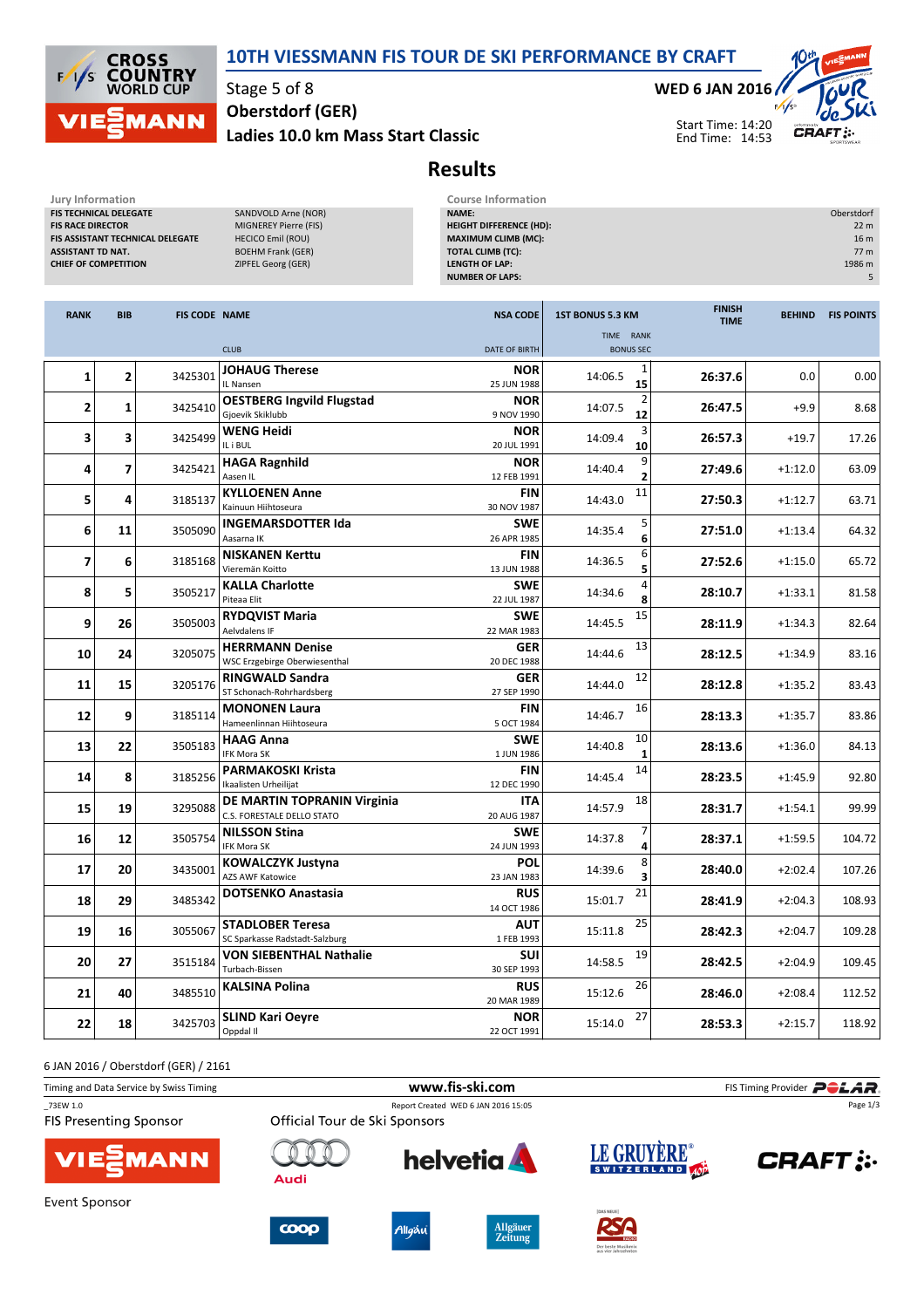



Stage 5 of 8 Ladies 10.0 km Mass Start Classic Oberstdorf (GER)

WED 6 JAN 2016



Start Time: 14:20 End Time: 14:53

## Results

| Jury Information<br>FIS TECHNICAL DELEGATE<br>SANDVOLD Arne (NOR)<br><b>FIS RACE DIRECTOR</b><br>MIGNEREY Pierre (FIS)<br>FIS ASSISTANT TECHNICAL DELEGATE<br><b>HECICO Emil (ROU)</b><br><b>ASSISTANT TD NAT.</b><br><b>BOEHM Frank (GER)</b><br><b>CHIEF OF COMPETITION</b><br>ZIPFEL Georg (GER) |                          |                      |                                                           | <b>Course Information</b><br>NAME:<br>Oberstdorf<br><b>HEIGHT DIFFERENCE (HD):</b><br><b>MAXIMUM CLIMB (MC):</b><br><b>TOTAL CLIMB (TC):</b><br><b>LENGTH OF LAP:</b><br><b>NUMBER OF LAPS:</b> |                                      |                              |               |                   |  |  |
|-----------------------------------------------------------------------------------------------------------------------------------------------------------------------------------------------------------------------------------------------------------------------------------------------------|--------------------------|----------------------|-----------------------------------------------------------|-------------------------------------------------------------------------------------------------------------------------------------------------------------------------------------------------|--------------------------------------|------------------------------|---------------|-------------------|--|--|
| <b>RANK</b>                                                                                                                                                                                                                                                                                         | <b>BIB</b>               | <b>FIS CODE NAME</b> |                                                           | <b>NSA CODE</b>                                                                                                                                                                                 | <b>1ST BONUS 5.3 KM</b><br>TIME RANK | <b>FINISH</b><br><b>TIME</b> | <b>BEHIND</b> | <b>FIS POINTS</b> |  |  |
|                                                                                                                                                                                                                                                                                                     |                          |                      | <b>CLUB</b>                                               | <b>DATE OF BIRTH</b>                                                                                                                                                                            | <b>BONUS SEC</b>                     |                              |               |                   |  |  |
| 1                                                                                                                                                                                                                                                                                                   | 2                        | 3425301              | <b>JOHAUG Therese</b><br>IL Nansen                        | <b>NOR</b><br>25 JUN 1988                                                                                                                                                                       | 1<br>14:06.5<br>15                   | 26:37.6                      | 0.0           | 0.00              |  |  |
| 2                                                                                                                                                                                                                                                                                                   | 1                        | 3425410              | <b>OESTBERG Ingvild Flugstad</b><br>Gioevik Skiklubb      | <b>NOR</b><br>9 NOV 1990                                                                                                                                                                        | 14:07.5<br>12                        | 26:47.5                      | $+9.9$        | 8.68              |  |  |
| 3                                                                                                                                                                                                                                                                                                   | 3                        | 3425499              | <b>WENG Heidi</b><br>IL i BUL                             | <b>NOR</b><br>20 JUL 1991                                                                                                                                                                       | 14:09.4<br>10                        | 26:57.3                      | $+19.7$       | 17.26             |  |  |
| 4                                                                                                                                                                                                                                                                                                   | $\overline{\phantom{a}}$ | 3425421              | <b>HAGA Ragnhild</b><br>Aasen IL                          | <b>NOR</b><br>12 FEB 1991                                                                                                                                                                       | 9<br>14:40.4<br>2                    | 27:49.6                      | $+1:12.0$     | 63.09             |  |  |
| 5                                                                                                                                                                                                                                                                                                   | 4                        | 3185137              | <b>KYLLOENEN Anne</b><br>Kainuun Hiihtoseura              | <b>FIN</b><br>30 NOV 1987                                                                                                                                                                       | 11<br>14:43.0                        | 27:50.3                      | $+1:12.7$     | 63.71             |  |  |
| 6                                                                                                                                                                                                                                                                                                   | 11                       | 3505090              | <b>INGEMARSDOTTER Ida</b><br>Aasarna IK                   | <b>SWE</b><br>26 APR 1985                                                                                                                                                                       | 5<br>14:35.4<br>6                    | 27:51.0                      | $+1:13.4$     | 64.32             |  |  |
| 7                                                                                                                                                                                                                                                                                                   | 6                        | 3185168              | <b>NISKANEN Kerttu</b><br>Vieremän Koitto                 | <b>FIN</b><br>13 JUN 1988                                                                                                                                                                       | 6<br>14:36.5<br>5                    | 27:52.6                      | $+1:15.0$     | 65.72             |  |  |
| 8                                                                                                                                                                                                                                                                                                   | 5                        | 3505217              | <b>KALLA Charlotte</b><br>Piteaa Elit                     | <b>SWE</b><br>22 JUL 1987                                                                                                                                                                       | 14:34.6                              | 28:10.7                      | $+1:33.1$     | 81.58             |  |  |
| 9                                                                                                                                                                                                                                                                                                   | 26                       | 3505003              | <b>RYDQVIST Maria</b><br>Aelvdalens IF                    | <b>SWE</b><br>22 MAR 1983                                                                                                                                                                       | 15<br>14:45.5                        | 28:11.9                      | $+1:34.3$     | 82.64             |  |  |
| 10                                                                                                                                                                                                                                                                                                  | 24                       | 3205075              | <b>HERRMANN Denise</b><br>WSC Erzgebirge Oberwiesenthal   | <b>GER</b><br>20 DEC 1988                                                                                                                                                                       | 13<br>14:44.6                        | 28:12.5                      | $+1:34.9$     | 83.16             |  |  |
| 11                                                                                                                                                                                                                                                                                                  | 15                       | 3205176              | <b>RINGWALD Sandra</b><br>ST Schonach-Rohrhardsberg       | <b>GER</b><br>27 SEP 1990                                                                                                                                                                       | 12<br>14:44.0                        | 28:12.8                      | $+1:35.2$     | 83.43             |  |  |
| 12                                                                                                                                                                                                                                                                                                  | 9                        | 3185114              | <b>MONONEN Laura</b><br>Hameenlinnan Hiihtoseura          | <b>FIN</b><br>5 OCT 1984                                                                                                                                                                        | 16<br>14:46.7                        | 28:13.3                      | $+1:35.7$     | 83.86             |  |  |
| 13                                                                                                                                                                                                                                                                                                  | 22                       | 3505183              | <b>HAAG Anna</b><br>IFK Mora SK                           | <b>SWE</b><br>1 JUN 1986                                                                                                                                                                        | 10<br>14:40.8<br>1                   | 28:13.6                      | $+1:36.0$     | 84.13             |  |  |
| 14                                                                                                                                                                                                                                                                                                  | 8                        | 3185256              | <b>PARMAKOSKI Krista</b><br>Ikaalisten Urheilijat         | <b>FIN</b><br>12 DEC 1990                                                                                                                                                                       | 14<br>14:45.4                        | 28:23.5                      | $+1:45.9$     | 92.80             |  |  |
| 15                                                                                                                                                                                                                                                                                                  | 19                       | 3295088              | DE MARTIN TOPRANIN Virginia<br>C.S. FORESTALE DELLO STATO | <b>ITA</b><br>20 AUG 1987                                                                                                                                                                       | 18<br>14:57.9                        | 28:31.7                      | $+1:54.1$     | 99.99             |  |  |
| 16                                                                                                                                                                                                                                                                                                  | 12                       | 3505754              | <b>NILSSON Stina</b><br>IFK Mora SK                       | <b>SWE</b><br>24 JUN 1993                                                                                                                                                                       | 14:37.8<br>4                         | 28:37.1                      | $+1:59.5$     | 104.72            |  |  |
| 17                                                                                                                                                                                                                                                                                                  | 20                       | 3435001              | <b>KOWALCZYK Justyna</b><br><b>AZS AWF Katowice</b>       | POL<br>23 JAN 1983                                                                                                                                                                              | 8<br>14:39.6                         | 28:40.0                      | $+2:02.4$     | 107.26            |  |  |
| 18                                                                                                                                                                                                                                                                                                  | 29                       |                      | 3485342 DOTSENKO Anastasia                                | RUS<br>14 OCT 1986                                                                                                                                                                              | $\overline{\text{21}}$<br>15:01.7    | 28:41.9                      | $+2:04.3$     | 108.93            |  |  |
| 19                                                                                                                                                                                                                                                                                                  | 16                       | 3055067              | <b>STADLOBER Teresa</b><br>SC Sparkasse Radstadt-Salzburg | <b>AUT</b><br>1 FEB 1993                                                                                                                                                                        | 25<br>15:11.8                        | 28:42.3                      | $+2:04.7$     | 109.28            |  |  |
| 20                                                                                                                                                                                                                                                                                                  | 27                       | 3515184              | <b>VON SIEBENTHAL Nathalie</b><br>Turbach-Bissen          | <b>SUI</b><br>30 SEP 1993                                                                                                                                                                       | 19<br>14:58.5                        | 28:42.5                      | $+2:04.9$     | 109.45            |  |  |
| 21                                                                                                                                                                                                                                                                                                  | 40                       | 3485510              | <b>KALSINA Polina</b>                                     | <b>RUS</b><br>20 MAR 1989                                                                                                                                                                       | 26<br>15:12.6                        | 28:46.0                      | $+2:08.4$     | 112.52            |  |  |
| 22                                                                                                                                                                                                                                                                                                  | 18                       | 3425703              | <b>SLIND Kari Oeyre</b><br>Oppdal II                      | <b>NOR</b><br>22 OCT 1991                                                                                                                                                                       | 27<br>15:14.0                        | 28:53.3                      | $+2:15.7$     | 118.92            |  |  |

6 JAN 2016 / Oberstdorf (GER) / 2161

| Timing and Data Service by Swiss Timing   |                               | www.fis-ski.com                     |                   | FIS Timing Provider <b>POLAR</b> . |
|-------------------------------------------|-------------------------------|-------------------------------------|-------------------|------------------------------------|
| 73EW 1.0<br><b>FIS Presenting Sponsor</b> | Official Tour de Ski Sponsors | Report Created WED 6 JAN 2016 15:05 |                   | Page 1/3                           |
| <b>VIE EMANN</b>                          | Audi                          | <b>helvetia</b>                     | LE GRUYERE®       | <b>CRAFT</b> :                     |
| Event Sponsor                             |                               |                                     | <b>IDAS NEUEI</b> |                                    |







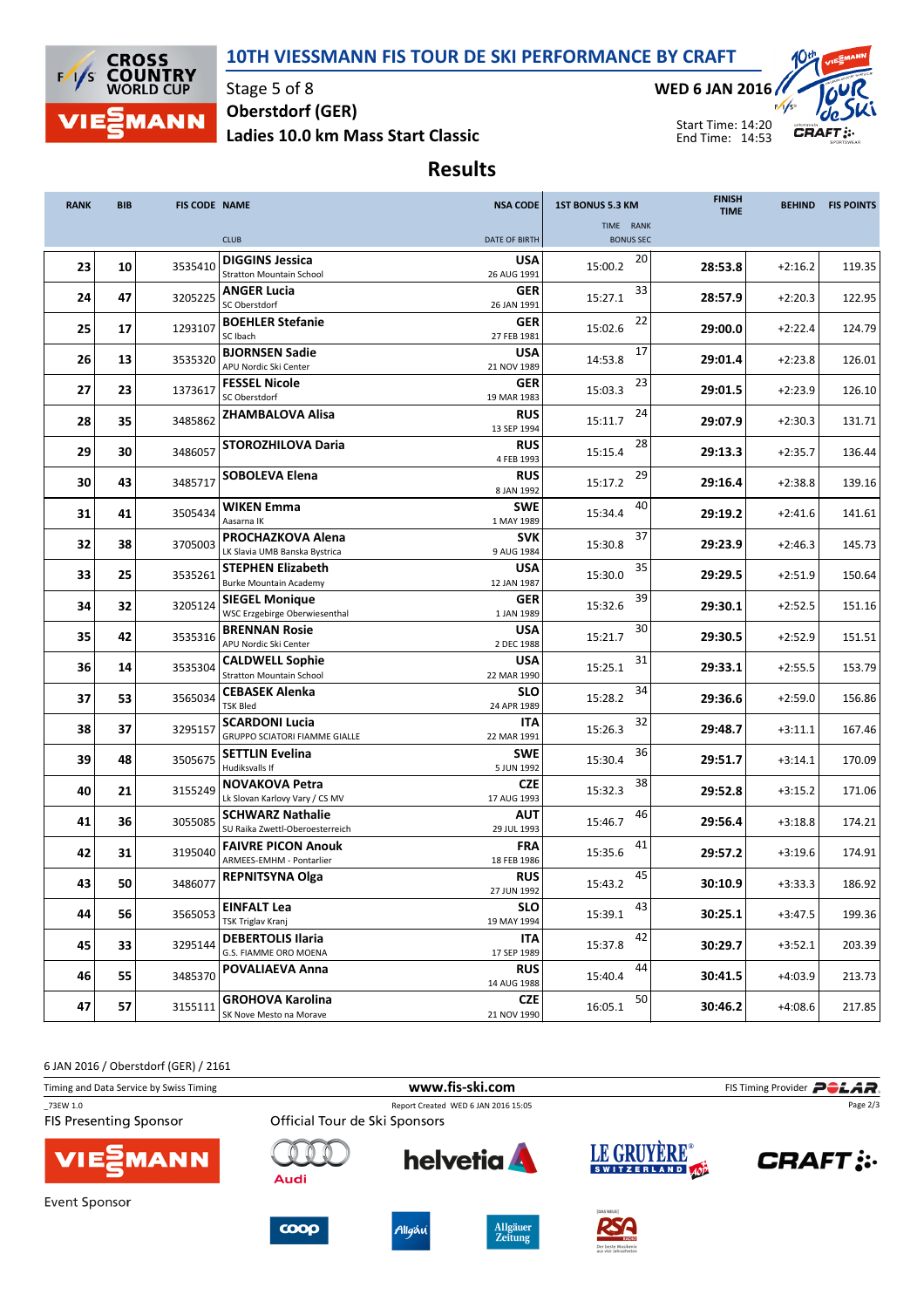## 10TH VIESSMANN FIS TOUR DE SKI PERFORMANCE BY CRAFT



Stage 5 of 8 Ladies 10.0 km Mass Start Classic Oberstdorf (GER)

WED 6 JAN 2016



Start Time: 14:20 End Time: 14:53

Results

| <b>RANK</b> | <b>BIB</b> | <b>FIS CODE NAME</b> |                                                               | <b>NSA CODE</b>           | <b>1ST BONUS 5.3 KM</b>       | <b>FINISH</b><br><b>TIME</b> | <b>BEHIND</b> | <b>FIS POINTS</b> |
|-------------|------------|----------------------|---------------------------------------------------------------|---------------------------|-------------------------------|------------------------------|---------------|-------------------|
|             |            |                      | <b>CLUB</b>                                                   | <b>DATE OF BIRTH</b>      | TIME RANK<br><b>BONUS SEC</b> |                              |               |                   |
|             |            |                      | <b>DIGGINS Jessica</b>                                        | <b>USA</b>                | 20                            |                              |               |                   |
| 23          | 10         | 3535410              | <b>Stratton Mountain School</b>                               | 26 AUG 1991               | 15:00.2                       | 28:53.8                      | $+2:16.2$     | 119.35            |
|             |            |                      | <b>ANGER Lucia</b>                                            | <b>GER</b>                | 33                            |                              |               |                   |
| 24          | 47         | 3205225              | SC Oberstdorf                                                 | 26 JAN 1991               | 15:27.1                       | 28:57.9                      | $+2:20.3$     | 122.95            |
| 25          | 17         | 1293107              | <b>BOEHLER Stefanie</b><br>SC Ibach                           | <b>GER</b><br>27 FEB 1981 | 22<br>15:02.6                 | 29:00.0                      | $+2:22.4$     | 124.79            |
| 26          | 13         | 3535320              | <b>BJORNSEN Sadie</b><br>APU Nordic Ski Center                | <b>USA</b><br>21 NOV 1989 | 17<br>14:53.8                 | 29:01.4                      | $+2:23.8$     | 126.01            |
| 27          | 23         | 1373617              | <b>FESSEL Nicole</b><br>SC Oberstdorf                         | <b>GER</b><br>19 MAR 1983 | 23<br>15:03.3                 | 29:01.5                      | $+2:23.9$     | 126.10            |
| 28          | 35         | 3485862              | <b>ZHAMBALOVA Alisa</b>                                       | <b>RUS</b><br>13 SEP 1994 | 24<br>15:11.7                 | 29:07.9                      | $+2:30.3$     | 131.71            |
| 29          | 30         | 3486057              | <b>STOROZHILOVA Daria</b>                                     | <b>RUS</b><br>4 FEB 1993  | 28<br>15:15.4                 | 29:13.3                      | $+2:35.7$     | 136.44            |
| 30          | 43         | 3485717              | <b>SOBOLEVA Elena</b>                                         | <b>RUS</b><br>8 JAN 1992  | 29<br>15:17.2                 | 29:16.4                      | $+2:38.8$     | 139.16            |
| 31          | 41         | 3505434              | <b>WIKEN Emma</b><br>Aasarna IK                               | <b>SWE</b><br>1 MAY 1989  | 40<br>15:34.4                 | 29:19.2                      | $+2:41.6$     | 141.61            |
| 32          | 38         | 3705003              | <b>PROCHAZKOVA Alena</b><br>LK Slavia UMB Banska Bystrica     | <b>SVK</b><br>9 AUG 1984  | 37<br>15:30.8                 | 29:23.9                      | $+2:46.3$     | 145.73            |
| 33          | 25         | 3535261              | <b>STEPHEN Elizabeth</b><br><b>Burke Mountain Academy</b>     | <b>USA</b><br>12 JAN 1987 | 35<br>15:30.0                 | 29:29.5                      | $+2:51.9$     | 150.64            |
| 34          | 32         | 3205124              | <b>SIEGEL Monique</b><br><b>WSC Erzgebirge Oberwiesenthal</b> | <b>GER</b><br>1 JAN 1989  | 39<br>15:32.6                 | 29:30.1                      | $+2:52.5$     | 151.16            |
| 35          | 42         | 3535316              | <b>BRENNAN Rosie</b><br>APU Nordic Ski Center                 | <b>USA</b><br>2 DEC 1988  | 30<br>15:21.7                 | 29:30.5                      | $+2:52.9$     | 151.51            |
| 36          | 14         | 3535304              | <b>CALDWELL Sophie</b><br><b>Stratton Mountain School</b>     | <b>USA</b><br>22 MAR 1990 | 31<br>15:25.1                 | 29:33.1                      | $+2:55.5$     | 153.79            |
| 37          | 53         | 3565034              | <b>CEBASEK Alenka</b><br><b>TSK Bled</b>                      | <b>SLO</b><br>24 APR 1989 | 34<br>15:28.2                 | 29:36.6                      | $+2:59.0$     | 156.86            |
| 38          | 37         | 3295157              | <b>SCARDONI Lucia</b><br>GRUPPO SCIATORI FIAMME GIALLE        | <b>ITA</b><br>22 MAR 1991 | 32<br>15:26.3                 | 29:48.7                      | $+3:11.1$     | 167.46            |
| 39          | 48         | 3505675              | <b>SETTLIN Evelina</b><br>Hudiksvalls If                      | <b>SWE</b><br>5 JUN 1992  | 36<br>15:30.4                 | 29:51.7                      | $+3:14.1$     | 170.09            |
| 40          | 21         | 3155249              | <b>NOVAKOVA Petra</b><br>Lk Slovan Karlovy Vary / CS MV       | <b>CZE</b><br>17 AUG 1993 | 38<br>15:32.3                 | 29:52.8                      | $+3:15.2$     | 171.06            |
| 41          | 36         | 3055085              | <b>SCHWARZ Nathalie</b><br>SU Raika Zwettl-Oberoesterreich    | <b>AUT</b><br>29 JUL 1993 | 46<br>15:46.7                 | 29:56.4                      | $+3:18.8$     | 174.21            |
| 42          | 31         | 3195040              | <b>FAIVRE PICON Anouk</b><br>ARMEES-EMHM - Pontarlier         | <b>FRA</b><br>18 FEB 1986 | 41<br>15:35.6                 | 29:57.2                      | $+3:19.6$     | 174.91            |
| 43          | 50         | 3486077              | <b>REPNITSYNA Olga</b>                                        | <b>RUS</b><br>27 JUN 1992 | 45<br>15:43.2                 | 30:10.9                      | $+3:33.3$     | 186.92            |
| 44          | 56         | 3565053              | <b>EINFALT Lea</b><br>TSK Triglav Kranj                       | <b>SLO</b><br>19 MAY 1994 | 43<br>15:39.1                 | 30:25.1                      | $+3:47.5$     | 199.36            |
| 45          | 33         | 3295144              | <b>DEBERTOLIS Ilaria</b><br>G.S. FIAMME ORO MOENA             | <b>ITA</b><br>17 SEP 1989 | 42<br>15:37.8                 | 30:29.7                      | $+3:52.1$     | 203.39            |
| 46          | 55         | 3485370              | POVALIAEVA Anna                                               | <b>RUS</b><br>14 AUG 1988 | 44<br>15:40.4                 | 30:41.5                      | $+4:03.9$     | 213.73            |
| 47          | 57         | 3155111              | <b>GROHOVA Karolina</b><br>SK Nove Mesto na Morave            | <b>CZE</b><br>21 NOV 1990 | 50<br>16:05.1                 | 30:46.2                      | $+4:08.6$     | 217.85            |

6 JAN 2016 / Oberstdorf (GER) / 2161

| Timing and Data Service by Swiss Timing   |                               |        | FIS Timing Provider <b>POLAR</b> . |                 |               |
|-------------------------------------------|-------------------------------|--------|------------------------------------|-----------------|---------------|
| 73EW 1.0<br><b>FIS Presenting Sponsor</b> | Official Tour de Ski Sponsors |        | Page 2/3                           |                 |               |
| VIESMANN                                  | Audi                          |        | <b>helvetia</b>                    | LE GRUYERE®     | <b>CRAFT:</b> |
| Event Sponsor                             |                               |        |                                    | <b>DAS NEUE</b> |               |
|                                           | $\bf{coop}$                   | Allgäu | <b>Allgäuer</b><br><b>Zeitung</b>  | RSA             |               |

KADIO<br>Per beste Musikmix